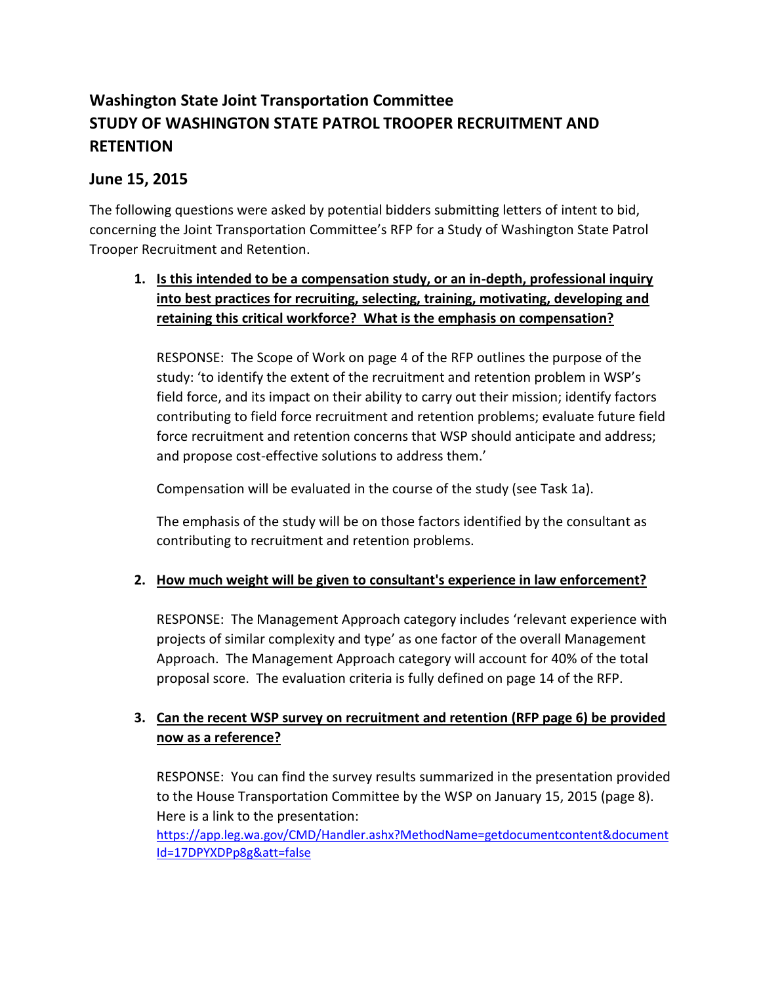# **Washington State Joint Transportation Committee STUDY OF WASHINGTON STATE PATROL TROOPER RECRUITMENT AND RETENTION**

# **June 15, 2015**

The following questions were asked by potential bidders submitting letters of intent to bid, concerning the Joint Transportation Committee's RFP for a Study of Washington State Patrol Trooper Recruitment and Retention.

## **1. Is this intended to be a compensation study, or an in-depth, professional inquiry into best practices for recruiting, selecting, training, motivating, developing and retaining this critical workforce? What is the emphasis on compensation?**

RESPONSE: The Scope of Work on page 4 of the RFP outlines the purpose of the study: 'to identify the extent of the recruitment and retention problem in WSP's field force, and its impact on their ability to carry out their mission; identify factors contributing to field force recruitment and retention problems; evaluate future field force recruitment and retention concerns that WSP should anticipate and address; and propose cost-effective solutions to address them.'

Compensation will be evaluated in the course of the study (see Task 1a).

The emphasis of the study will be on those factors identified by the consultant as contributing to recruitment and retention problems.

#### **2. How much weight will be given to consultant's experience in law enforcement?**

RESPONSE: The Management Approach category includes 'relevant experience with projects of similar complexity and type' as one factor of the overall Management Approach. The Management Approach category will account for 40% of the total proposal score. The evaluation criteria is fully defined on page 14 of the RFP.

## **3. Can the recent WSP survey on recruitment and retention (RFP page 6) be provided now as a reference?**

RESPONSE: You can find the survey results summarized in the presentation provided to the House Transportation Committee by the WSP on January 15, 2015 (page 8). Here is a link to the presentation:

[https://app.leg.wa.gov/CMD/Handler.ashx?MethodName=getdocumentcontent&document](https://app.leg.wa.gov/CMD/Handler.ashx?MethodName=getdocumentcontent&documentId=17DPYXDPp8g&att=false) [Id=17DPYXDPp8g&att=false](https://app.leg.wa.gov/CMD/Handler.ashx?MethodName=getdocumentcontent&documentId=17DPYXDPp8g&att=false)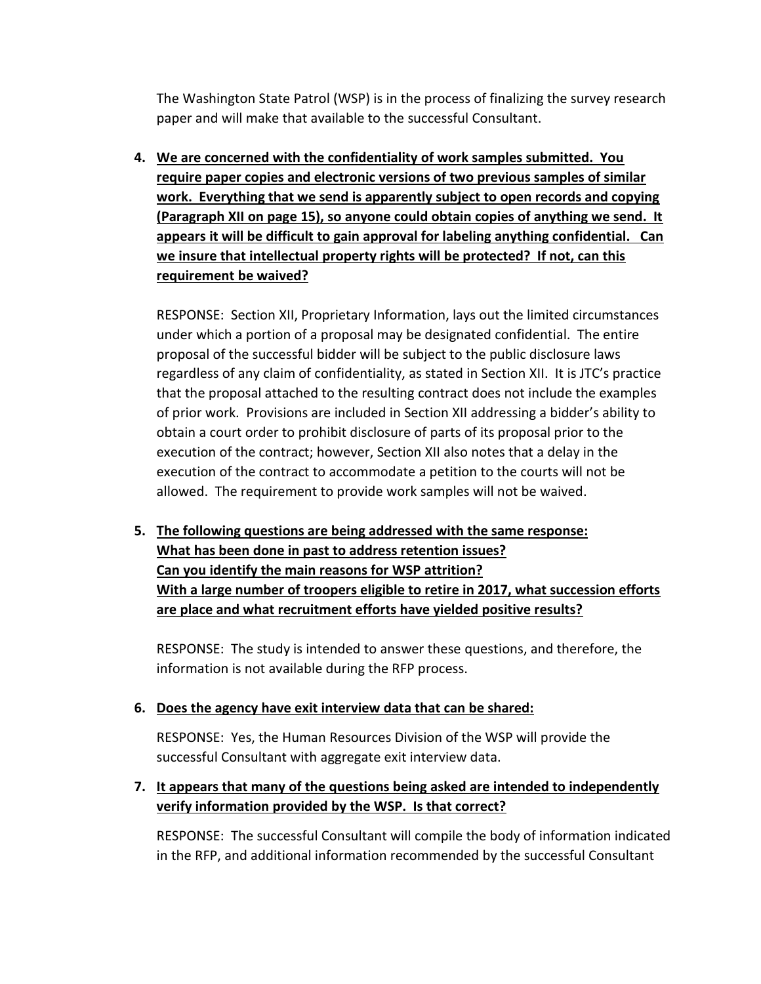The Washington State Patrol (WSP) is in the process of finalizing the survey research paper and will make that available to the successful Consultant.

**4. We are concerned with the confidentiality of work samples submitted. You require paper copies and electronic versions of two previous samples of similar work. Everything that we send is apparently subject to open records and copying (Paragraph XII on page 15), so anyone could obtain copies of anything we send. It appears it will be difficult to gain approval for labeling anything confidential. Can we insure that intellectual property rights will be protected? If not, can this requirement be waived?** 

RESPONSE: Section XII, Proprietary Information, lays out the limited circumstances under which a portion of a proposal may be designated confidential. The entire proposal of the successful bidder will be subject to the public disclosure laws regardless of any claim of confidentiality, as stated in Section XII. It is JTC's practice that the proposal attached to the resulting contract does not include the examples of prior work. Provisions are included in Section XII addressing a bidder's ability to obtain a court order to prohibit disclosure of parts of its proposal prior to the execution of the contract; however, Section XII also notes that a delay in the execution of the contract to accommodate a petition to the courts will not be allowed. The requirement to provide work samples will not be waived.

**5. The following questions are being addressed with the same response: What has been done in past to address retention issues? Can you identify the main reasons for WSP attrition? With a large number of troopers eligible to retire in 2017, what succession efforts are place and what recruitment efforts have yielded positive results?** 

RESPONSE: The study is intended to answer these questions, and therefore, the information is not available during the RFP process.

#### **6. Does the agency have exit interview data that can be shared:**

RESPONSE: Yes, the Human Resources Division of the WSP will provide the successful Consultant with aggregate exit interview data.

### **7. It appears that many of the questions being asked are intended to independently verify information provided by the WSP. Is that correct?**

RESPONSE: The successful Consultant will compile the body of information indicated in the RFP, and additional information recommended by the successful Consultant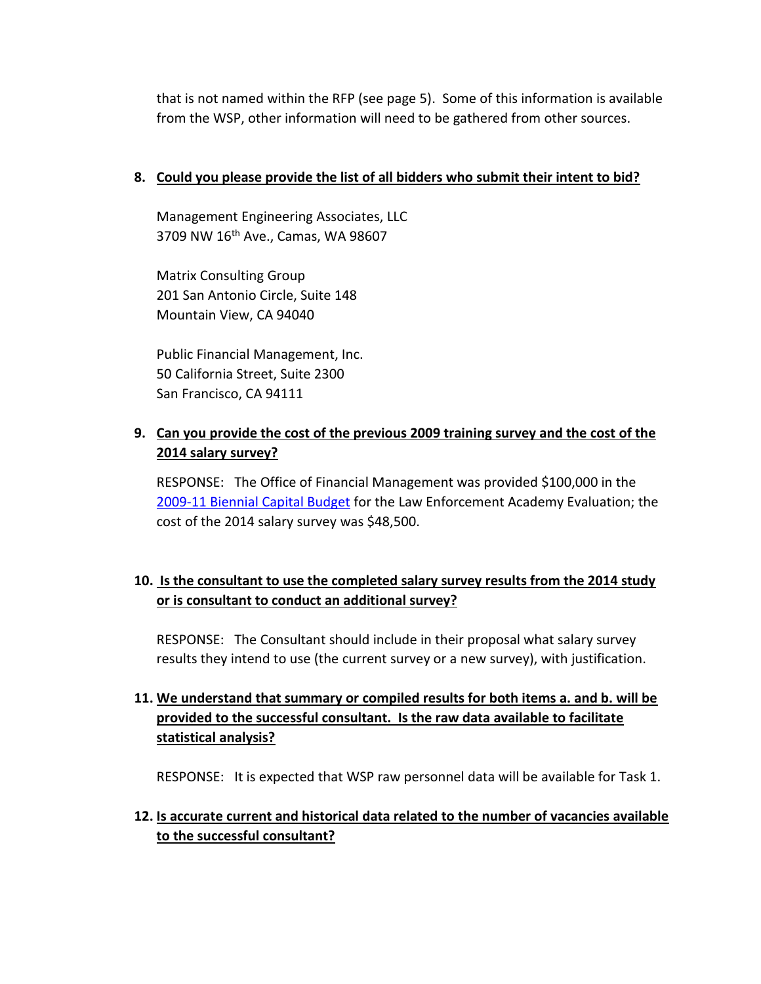that is not named within the RFP (see page 5). Some of this information is available from the WSP, other information will need to be gathered from other sources.

#### **8. Could you please provide the list of all bidders who submit their intent to bid?**

Management Engineering Associates, LLC 3709 NW 16<sup>th</sup> Ave., Camas, WA 98607

Matrix Consulting Group 201 San Antonio Circle, Suite 148 Mountain View, CA 94040

Public Financial Management, Inc. 50 California Street, Suite 2300 San Francisco, CA 94111

### **9. Can you provide the cost of the previous 2009 training survey and the cost of the 2014 salary survey?**

RESPONSE: The Office of Financial Management was provided \$100,000 in the [2009-11 Biennial Capital Budget](http://leap.leg.wa.gov/leap/budget/lbns/2009Cap1216-S.SL.pdf) for the Law Enforcement Academy Evaluation; the cost of the 2014 salary survey was \$48,500.

### **10. Is the consultant to use the completed salary survey results from the 2014 study or is consultant to conduct an additional survey?**

RESPONSE: The Consultant should include in their proposal what salary survey results they intend to use (the current survey or a new survey), with justification.

### **11. We understand that summary or compiled results for both items a. and b. will be provided to the successful consultant. Is the raw data available to facilitate statistical analysis?**

RESPONSE: It is expected that WSP raw personnel data will be available for Task 1.

### **12. Is accurate current and historical data related to the number of vacancies available to the successful consultant?**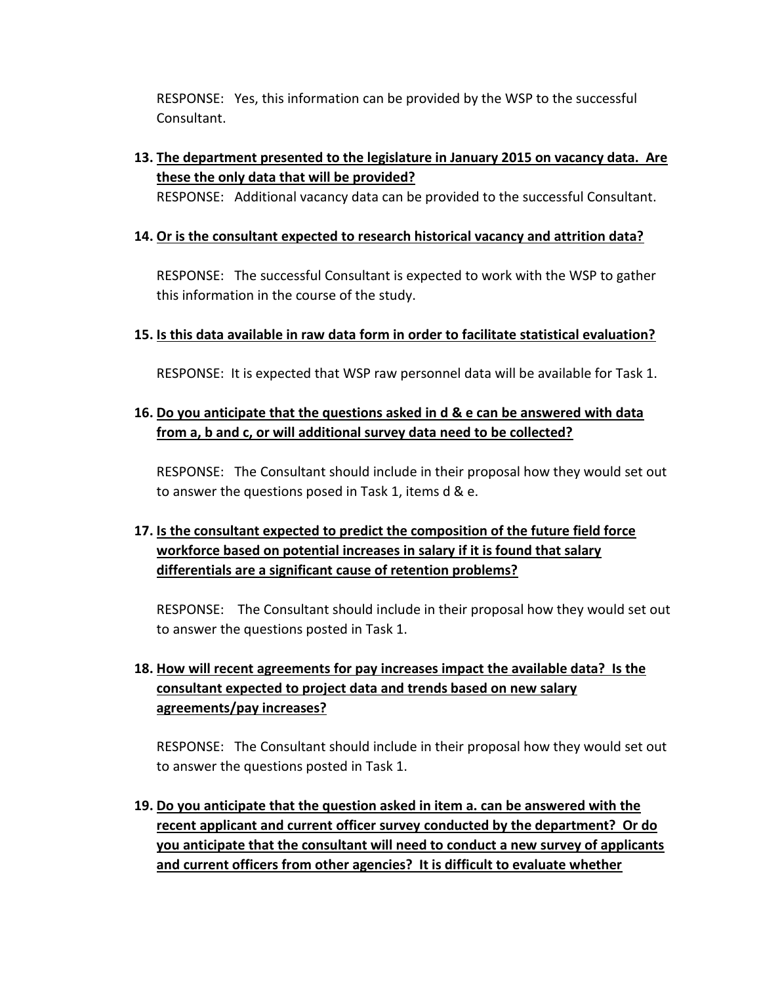RESPONSE: Yes, this information can be provided by the WSP to the successful Consultant.

# **13. The department presented to the legislature in January 2015 on vacancy data. Are these the only data that will be provided?**

RESPONSE: Additional vacancy data can be provided to the successful Consultant.

#### **14. Or is the consultant expected to research historical vacancy and attrition data?**

RESPONSE: The successful Consultant is expected to work with the WSP to gather this information in the course of the study.

#### **15. Is this data available in raw data form in order to facilitate statistical evaluation?**

RESPONSE:It is expected that WSP raw personnel data will be available for Task 1.

### **16. Do you anticipate that the questions asked in d & e can be answered with data from a, b and c, or will additional survey data need to be collected?**

RESPONSE: The Consultant should include in their proposal how they would set out to answer the questions posed in Task 1, items d & e.

# **17. Is the consultant expected to predict the composition of the future field force workforce based on potential increases in salary if it is found that salary differentials are a significant cause of retention problems?**

RESPONSE: The Consultant should include in their proposal how they would set out to answer the questions posted in Task 1.

# **18. How will recent agreements for pay increases impact the available data? Is the consultant expected to project data and trends based on new salary agreements/pay increases?**

RESPONSE: The Consultant should include in their proposal how they would set out to answer the questions posted in Task 1.

**19. Do you anticipate that the question asked in item a. can be answered with the recent applicant and current officer survey conducted by the department? Or do you anticipate that the consultant will need to conduct a new survey of applicants and current officers from other agencies? It is difficult to evaluate whether**